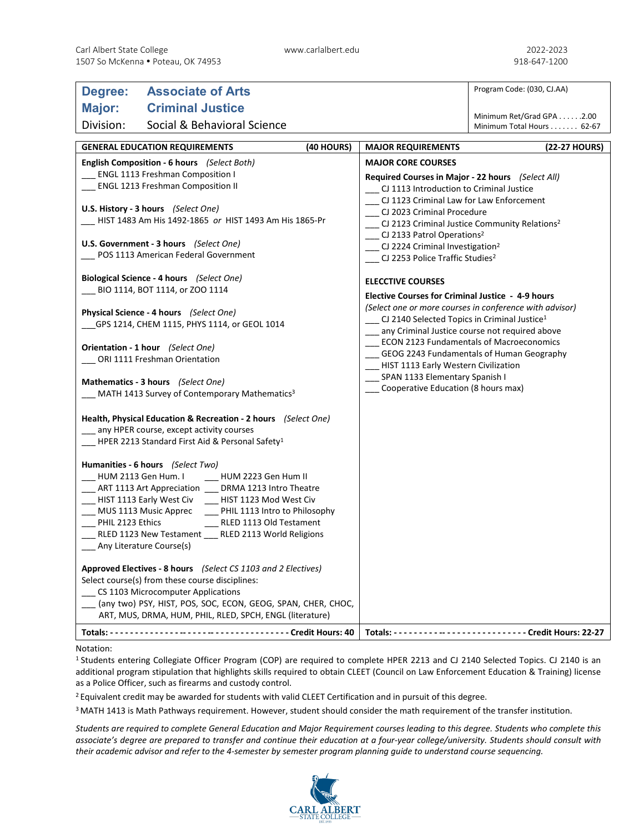| Degree:                                                                                   | <b>Associate of Arts</b>                                       |                                                          |                                                                        | Program Code: (030, CJ.AA)                             |  |
|-------------------------------------------------------------------------------------------|----------------------------------------------------------------|----------------------------------------------------------|------------------------------------------------------------------------|--------------------------------------------------------|--|
| Major:                                                                                    | <b>Criminal Justice</b>                                        |                                                          |                                                                        |                                                        |  |
| Division:                                                                                 | Social & Behavioral Science                                    |                                                          |                                                                        | Minimum Ret/Grad GPA 2.00<br>Minimum Total Hours 62-67 |  |
|                                                                                           |                                                                |                                                          |                                                                        |                                                        |  |
| (40 HOURS)<br><b>GENERAL EDUCATION REQUIREMENTS</b>                                       |                                                                |                                                          | <b>MAJOR REQUIREMENTS</b>                                              | (22-27 HOURS)                                          |  |
| English Composition - 6 hours (Select Both)                                               |                                                                |                                                          | <b>MAJOR CORE COURSES</b>                                              |                                                        |  |
| ENGL 1113 Freshman Composition I<br>ENGL 1213 Freshman Composition II                     |                                                                |                                                          | Required Courses in Major - 22 hours (Select All)                      |                                                        |  |
|                                                                                           |                                                                |                                                          | CJ 1113 Introduction to Criminal Justice                               |                                                        |  |
| U.S. History - 3 hours (Select One)                                                       |                                                                |                                                          | CJ 1123 Criminal Law for Law Enforcement<br>CJ 2023 Criminal Procedure |                                                        |  |
| HIST 1483 Am His 1492-1865 or HIST 1493 Am His 1865-Pr                                    |                                                                |                                                          | CJ 2123 Criminal Justice Community Relations <sup>2</sup>              |                                                        |  |
|                                                                                           |                                                                |                                                          | __ CJ 2133 Patrol Operations <sup>2</sup>                              |                                                        |  |
| U.S. Government - 3 hours (Select One)                                                    |                                                                |                                                          | __ CJ 2224 Criminal Investigation <sup>2</sup>                         |                                                        |  |
| POS 1113 American Federal Government                                                      |                                                                |                                                          | $\Box$ CJ 2253 Police Traffic Studies <sup>2</sup>                     |                                                        |  |
| Biological Science - 4 hours (Select One)                                                 |                                                                |                                                          | <b>ELECCTIVE COURSES</b>                                               |                                                        |  |
| BIO 1114, BOT 1114, or ZOO 1114                                                           |                                                                | <b>Elective Courses for Criminal Justice - 4-9 hours</b> |                                                                        |                                                        |  |
|                                                                                           |                                                                |                                                          | (Select one or more courses in conference with advisor)                |                                                        |  |
| Physical Science - 4 hours (Select One)<br>__GPS 1214, CHEM 1115, PHYS 1114, or GEOL 1014 |                                                                |                                                          | $\Box$ CJ 2140 Selected Topics in Criminal Justice <sup>1</sup>        |                                                        |  |
|                                                                                           |                                                                |                                                          | any Criminal Justice course not required above                         |                                                        |  |
|                                                                                           | Orientation - 1 hour (Select One)                              |                                                          | <b>ECON 2123 Fundamentals of Macroeconomics</b>                        |                                                        |  |
|                                                                                           | ORI 1111 Freshman Orientation                                  |                                                          | GEOG 2243 Fundamentals of Human Geography                              |                                                        |  |
|                                                                                           |                                                                |                                                          | HIST 1113 Early Western Civilization<br>SPAN 1133 Elementary Spanish I |                                                        |  |
| Mathematics - 3 hours (Select One)                                                        |                                                                |                                                          | Cooperative Education (8 hours max)                                    |                                                        |  |
| MATH 1413 Survey of Contemporary Mathematics <sup>3</sup>                                 |                                                                |                                                          |                                                                        |                                                        |  |
|                                                                                           | Health, Physical Education & Recreation - 2 hours (Select One) |                                                          |                                                                        |                                                        |  |
|                                                                                           | __ any HPER course, except activity courses                    |                                                          |                                                                        |                                                        |  |
| HPER 2213 Standard First Aid & Personal Safety <sup>1</sup>                               |                                                                |                                                          |                                                                        |                                                        |  |
|                                                                                           | Humanities - 6 hours (Select Two)                              |                                                          |                                                                        |                                                        |  |
| HUM 2113 Gen Hum. I                                                                       | HUM 2223 Gen Hum II                                            |                                                          |                                                                        |                                                        |  |
|                                                                                           | __ ART 1113 Art Appreciation __ DRMA 1213 Intro Theatre        |                                                          |                                                                        |                                                        |  |
|                                                                                           | __ HIST 1113 Early West Civ __ HIST 1123 Mod West Civ          |                                                          |                                                                        |                                                        |  |
| ___ MUS 1113 Music Apprec                                                                 | __ PHIL 1113 Intro to Philosophy                               |                                                          |                                                                        |                                                        |  |
| PHIL 2123 Ethics                                                                          | RLED 1113 Old Testament                                        |                                                          |                                                                        |                                                        |  |
|                                                                                           | RLED 1123 New Testament __ RLED 2113 World Religions           |                                                          |                                                                        |                                                        |  |
| _ Any Literature Course(s)                                                                |                                                                |                                                          |                                                                        |                                                        |  |
|                                                                                           | Approved Electives - 8 hours (Select CS 1103 and 2 Electives)  |                                                          |                                                                        |                                                        |  |
| Select course(s) from these course disciplines:                                           |                                                                |                                                          |                                                                        |                                                        |  |
| _CS 1103 Microcomputer Applications                                                       |                                                                |                                                          |                                                                        |                                                        |  |
| (any two) PSY, HIST, POS, SOC, ECON, GEOG, SPAN, CHER, CHOC,                              |                                                                |                                                          |                                                                        |                                                        |  |
|                                                                                           | ART, MUS, DRMA, HUM, PHIL, RLED, SPCH, ENGL (literature)       |                                                          |                                                                        |                                                        |  |
|                                                                                           |                                                                |                                                          |                                                                        |                                                        |  |

## Notation:

<sup>1</sup> Students entering Collegiate Officer Program (COP) are required to complete HPER 2213 and CJ 2140 Selected Topics. CJ 2140 is an additional program stipulation that highlights skills required to obtain CLEET (Council on Law Enforcement Education & Training) license as a Police Officer, such as firearms and custody control.

<sup>2</sup> Equivalent credit may be awarded for students with valid CLEET Certification and in pursuit of this degree.

<sup>3</sup> MATH 1413 is Math Pathways requirement. However, student should consider the math requirement of the transfer institution.

*Students are required to complete General Education and Major Requirement courses leading to this degree. Students who complete this associate's degree are prepared to transfer and continue their education at a four-year college/university. Students should consult with their academic advisor and refer to the 4-semester by semester program planning guide to understand course sequencing.*